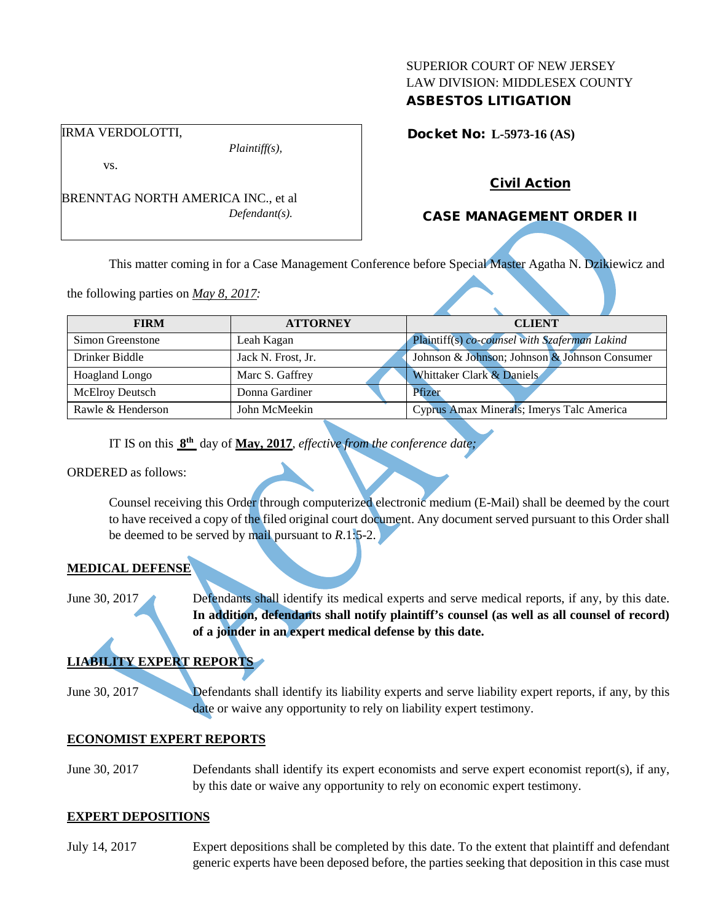#### SUPERIOR COURT OF NEW JERSEY LAW DIVISION: MIDDLESEX COUNTY ASBESTOS LITIGATION

IRMA VERDOLOTTI,

vs.

BRENNTAG NORTH AMERICA INC., et al *Defendant(s).*

*Plaintiff(s),*

# Docket No: **L-5973-16 (AS)**

# Civil Action

## CASE MANAGEMENT ORDER II

This matter coming in for a Case Management Conference before Special Master Agatha N. Dzikiewicz and

the following parties on *May 8, 2017:*

| <b>FIRM</b>            | <b>ATTORNEY</b>    | <b>CLIENT</b>                                 |
|------------------------|--------------------|-----------------------------------------------|
| Simon Greenstone       | Leah Kagan         | Plaintiff(s) co-counsel with Szaferman Lakind |
| Drinker Biddle         | Jack N. Frost, Jr. | Johnson & Johnson; Johnson & Johnson Consumer |
| <b>Hoagland Longo</b>  | Marc S. Gaffrey    | Whittaker Clark & Daniels                     |
| <b>McElroy Deutsch</b> | Donna Gardiner     | Pfizer                                        |
| Rawle & Henderson      | John McMeekin      | Cyprus Amax Minerals; Imerys Talc America     |

IT IS on this **8th** day of **May, 2017**, *effective from the conference date;*

ORDERED as follows:

Counsel receiving this Order through computerized electronic medium (E-Mail) shall be deemed by the court to have received a copy of the filed original court document. Any document served pursuant to this Order shall be deemed to be served by mail pursuant to *R*.1:5-2.

## **MEDICAL DEFENSE**

June 30, 2017 Defendants shall identify its medical experts and serve medical reports, if any, by this date. **In addition, defendants shall notify plaintiff's counsel (as well as all counsel of record) of a joinder in an expert medical defense by this date.**

# **LIABILITY EXPERT REPORTS**

June 30, 2017 Defendants shall identify its liability experts and serve liability expert reports, if any, by this date or waive any opportunity to rely on liability expert testimony.

## **ECONOMIST EXPERT REPORTS**

June 30, 2017 Defendants shall identify its expert economists and serve expert economist report(s), if any, by this date or waive any opportunity to rely on economic expert testimony.

## **EXPERT DEPOSITIONS**

July 14, 2017 Expert depositions shall be completed by this date. To the extent that plaintiff and defendant generic experts have been deposed before, the parties seeking that deposition in this case must